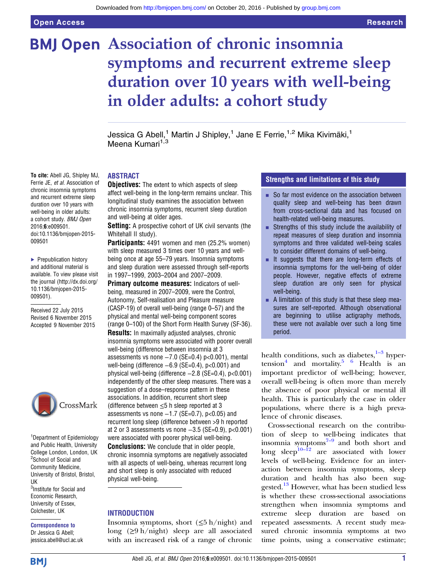# **BMJ Open Association of chronic insomnia** symptoms and recurrent extreme sleep duration over 10 years with well-being in older adults: a cohort study

Jessica G Abell,<sup>1</sup> Martin J Shipley,<sup>1</sup> Jane E Ferrie,<sup>1,2</sup> Mika Kivimäki,<sup>1</sup> Meena Kumari<sup>1,3</sup>

# ABSTRACT

**Objectives:** The extent to which aspects of sleep affect well-being in the long-term remains unclear. This longitudinal study examines the association between chronic insomnia symptoms, recurrent sleep duration and well-being at older ages.

Setting: A prospective cohort of UK civil servants (the Whitehall II study).

Participants: 4491 women and men (25.2% women) with sleep measured 3 times over 10 years and wellbeing once at age 55–79 years. Insomnia symptoms and sleep duration were assessed through self-reports in 1997–1999, 2003–2004 and 2007–2009.

Primary outcome measures: Indicators of wellbeing, measured in 2007–2009, were the Control, Autonomy, Self-realisation and Pleasure measure (CASP-19) of overall well-being (range 0–57) and the physical and mental well-being component scores (range 0–100) of the Short Form Health Survey (SF-36). Results: In maximally adjusted analyses, chronic insomnia symptoms were associated with poorer overall well-being (difference between insomnia at 3 assessments vs none −7.0 (SE=0.4) p<0.001), mental well-being (difference -6.9 (SE=0.4), p<0.001) and physical well-being (difference −2.8 (SE=0.4), p<0.001) independently of the other sleep measures. There was a suggestion of a dose–response pattern in these associations. In addition, recurrent short sleep (difference between  $\leq$ 5 h sleep reported at 3 assessments vs none −1.7 (SE=0.7), p<0.05) and recurrent long sleep (difference between >9 h reported at 2 or 3 assessments vs none −3.5 (SE=0.9), p<0.001) were associated with poorer physical well-being. Conclusions: We conclude that in older people, chronic insomnia symptoms are negatively associated with all aspects of well-being, whereas recurrent long and short sleep is only associated with reduced physical well-being.

#### INTRODUCTION

Insomnia symptoms, short  $(\leq 5 \text{ h}/\text{night})$  and long (≥9 h/night) sleep are all associated with an increased risk of a range of chronic

# Strengths and limitations of this study

- $\blacksquare$  So far most evidence on the association between quality sleep and well-being has been drawn from cross-sectional data and has focused on health-related well-being measures.
- $\blacksquare$  Strengths of this study include the availability of repeat measures of sleep duration and insomnia symptoms and three validated well-being scales to consider different domains of well-being.
- **Example 1** It suggests that there are long-term effects of insomnia symptoms for the well-being of older people. However, negative effects of extreme sleep duration are only seen for physical well-being.
- $\blacksquare$  A limitation of this study is that these sleep measures are self-reported. Although observational are beginning to utilise actigraphy methods, these were not available over such a long time period.

health conditions, such as diabetes, $1-3$  $1-3$  hyper-tension<sup>[4](#page-6-0)</sup> and mortality.<sup>5</sup>  $\frac{6}{1}$  Health is an important predictor of well-being; however, overall well-being is often more than merely the absence of poor physical or mental ill health. This is particularly the case in older populations, where there is a high prevalence of chronic diseases.

Cross-sectional research on the contribution of sleep to [well](#page-7-0)-being indicates that insomnia symptoms $7-9$  and both short and long sleep<sup>[10](#page-7-0)–12</sup> are associated with lower levels of well-being. Evidence for an interaction between insomnia symptoms, sleep duration and health has also been sug-gested.<sup>[13](#page-7-0)</sup> However, what has been studied less is whether these cross-sectional associations strengthen when insomnia symptoms and extreme sleep duration are based on repeated assessments. A recent study measured chronic insomnia symptoms at two time points, using a conservative estimate;

To cite: Abell JG, Shipley MJ, Ferrie JE, et al. Association of chronic insomnia symptoms and recurrent extreme sleep duration over 10 years with well-being in older adults: a cohort study. BMJ Open 2016;6:e009501. doi:10.1136/bmjopen-2015- 009501

▶ Prepublication history and additional material is available. To view please visit the journal [\(http://dx.doi.org/](http://dx.doi.org/10.1136/bmjopen-2015-009501) [10.1136/bmjopen-2015-](http://dx.doi.org/10.1136/bmjopen-2015-009501) [009501\)](http://dx.doi.org/10.1136/bmjopen-2015-009501).

Received 22 July 2015 Revised 6 November 2015 Accepted 9 November 2015



<sup>1</sup>Department of Epidemiology and Public Health, University College London, London, UK <sup>2</sup>School of Social and Community Medicine, University of Bristol, Bristol, UK <sup>3</sup>Institute for Social and Economic Research, University of Essex, Colchester, UK

Correspondence to Dr Jessica G Abell; jessica.abell@ucl.ac.uk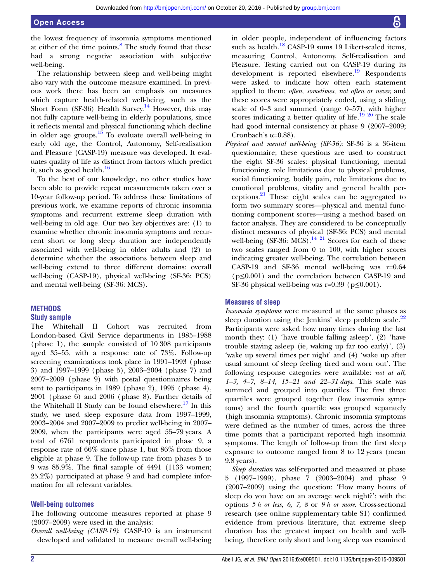the lowest frequency of insomnia symptoms mentioned at either of the time points.<sup>[8](#page-7-0)</sup> The study found that these had a strong negative association with subjective well-being.

The relationship between sleep and well-being might also vary with the outcome measure examined. In previous work there has been an emphasis on measures which capture health-related well-being, such as the Short Form (SF-36) Health Survey.<sup>[14](#page-7-0)</sup> However, this may not fully capture well-being in elderly populations, since it reflects mental and physical functioning which decline in older age groups.<sup>[15](#page-7-0)</sup> To evaluate overall well-being in early old age, the Control, Autonomy, Self-realisation and Pleasure (CASP-19) measure was developed. It evaluates quality of life as distinct from factors which predict it, such as good health.<sup>[16](#page-7-0)</sup>

To the best of our knowledge, no other studies have been able to provide repeat measurements taken over a 10-year follow-up period. To address these limitations of previous work, we examine reports of chronic insomnia symptoms and recurrent extreme sleep duration with well-being in old age. Our two key objectives are: (1) to examine whether chronic insomnia symptoms and recurrent short or long sleep duration are independently associated with well-being in older adults and (2) to determine whether the associations between sleep and well-being extend to three different domains: overall well-being (CASP-19), physical well-being (SF-36: PCS) and mental well-being (SF-36: MCS).

#### **METHODS**

#### Study sample

The Whitehall II Cohort was recruited from London-based Civil Service departments in 1985–1988 (phase 1), the sample consisted of 10 308 participants aged 35–55, with a response rate of 73%. Follow-up screening examinations took place in 1991–1993 (phase 3) and 1997–1999 (phase 5), 2003–2004 (phase 7) and 2007–2009 (phase 9) with postal questionnaires being sent to participants in 1989 (phase 2), 1995 (phase 4), 2001 (phase 6) and 2006 (phase 8). Further details of the Whitehall II Study can be found elsewhere. $17$  In this study, we used sleep exposure data from 1997–1999, 2003–2004 and 2007–2009 to predict well-being in 2007– 2009, when the participants were aged 55–79 years. A total of 6761 respondents participated in phase 9, a response rate of 66% since phase 1, but 86% from those eligible at phase 9. The follow-up rate from phases 5 to 9 was 85.9%. The final sample of 4491 (1133 women; 25.2%) participated at phase 9 and had complete information for all relevant variables.

#### Well-being outcomes

The following outcome measures reported at phase 9 (2007–2009) were used in the analysis:

Overall well-being (CASP-19): CASP-19 is an instrument developed and validated to measure overall well-being

in older people, independent of influencing factors such as health.<sup>[18](#page-7-0)</sup> CASP-19 sums 19 Likert-scaled items, measuring Control, Autonomy, Self-realisation and Pleasure. Testing carried out on CASP-19 during its development is reported elsewhere.<sup>[19](#page-7-0)</sup> Respondents were asked to indicate how often each statement applied to them; often, sometimes, not often or never, and these scores were appropriately coded, using a sliding scale of 0–3 and summed (range 0–57), with higher scores indicating a better quality of life.<sup>19</sup>  $20$  The scale had good internal consistency at phase 9 (2007–2009; Cronbach's  $\alpha=0.88$ ).

Physical and mental well-being (SF-36): SF-36 is a 36-item questionnaire; these questions are used to construct the eight SF-36 scales: physical functioning, mental functioning, role limitations due to physical problems, social functioning, bodily pain, role limitations due to emotional problems, vitality and general health perceptions. $^{21}$  $^{21}$  $^{21}$  These eight scales can be aggregated to form two summary scores—physical and mental functioning component scores—using a method based on factor analysis. They are considered to be conceptually distinct measures of physical (SF-36: PCS) and mental well-being (SF-36: MCS).<sup>[14 21](#page-7-0)</sup> Scores for each of these two scales ranged from 0 to 100, with higher scores indicating greater well-being. The correlation between CASP-19 and SF-36 mental well-being was r=0.64  $(p \le 0.001)$  and the correlation between CASP-19 and SF-36 physical well-being was  $r=0.39$  ( $p\leq 0.001$ ).

#### Measures of sleep

Insomnia symptoms were measured at the same phases as sleep duration using the Jenkins' sleep problem scale. $^{22}$  $^{22}$  $^{22}$ Participants were asked how many times during the last month they: (1) 'have trouble falling asleep', (2) 'have trouble staying asleep (ie, waking up far too early)', (3) 'wake up several times per night' and (4) 'wake up after usual amount of sleep feeling tired and worn out'. The following response categories were available: not at all, 1–3, 4–7, 8–14, 15–21 and 22–31 days. This scale was summed and grouped into quartiles. The first three quartiles were grouped together (low insomnia symptoms) and the fourth quartile was grouped separately (high insomnia symptoms). Chronic insomnia symptoms were defined as the number of times, across the three time points that a participant reported high insomnia symptoms. The length of follow-up from the first sleep exposure to outcome ranged from 8 to 12 years (mean 9.8 years).

Sleep duration was self-reported and measured at phase 5 (1997–1999), phase 7 (2003–2004) and phase 9 (2007–2009) using the question: 'How many hours of sleep do you have on an average week night?'; with the options  $5 h$  or less, 6, 7, 8 or 9h or more. Cross-sectional research (see online supplementary table S1) confirmed evidence from previous literature, that extreme sleep duration has the greatest impact on health and wellbeing, therefore only short and long sleep was examined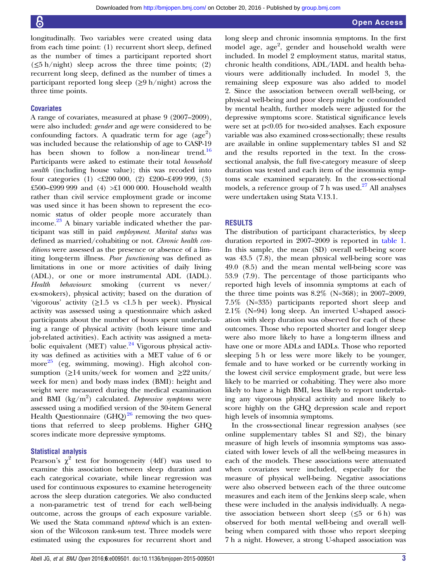longitudinally. Two variables were created using data from each time point: (1) recurrent short sleep, defined as the number of times a participant reported short  $(\leq 5 \text{ h}/\text{night})$  sleep across the three time points; (2) recurrent long sleep, defined as the number of times a participant reported long sleep  $(≥9 h/night)$  across the three time points.

### **Covariates**

A range of covariates, measured at phase 9 (2007–2009), were also included: gender and age were considered to be confounding factors. A quadratic term for age  $(age<sup>2</sup>)$ was included because the relationship of age to CASP-19 has been shown to follow a non-linear trend.<sup>[16](#page-7-0)</sup> Participants were asked to estimate their total household wealth (including house value); this was recoded into four categories (1) <£200 000, (2) £200–£499 999, (3) £500–£999 999 and (4) >£1 000 000. Household wealth rather than civil service employment grade or income was used since it has been shown to represent the economic status of older people more accurately than income. $^{23}$  $^{23}$  $^{23}$  A binary variable indicated whether the participant was still in paid employment. Marital status was defined as married/cohabiting or not. Chronic health conditions were assessed as the presence or absence of a limiting long-term illness. Poor functioning was defined as limitations in one or more activities of daily living (ADL), or one or more instrumental ADL (IADL). Health behaviours: smoking (current vs never/ ex-smokers), physical activity; based on the duration of 'vigorous' activity  $(\geq 1.5$  vs <1.5 h per week). Physical activity was assessed using a questionnaire which asked participants about the number of hours spent undertaking a range of physical activity (both leisure time and job-related activities). Each activity was assigned a metabolic equivalent (MET) value. $24$  Vigorous physical activity was defined as activities with a MET value of 6 or more $^{25}$  $^{25}$  $^{25}$  (eg, swimming, mowing). High alcohol consumption  $(\geq)$ 14 units/week for women and  $\geq$ 22 units/ week for men) and body mass index (BMI): height and weight were measured during the medical examination and BMI (kg/m<sup>2</sup>) calculated. *Depressive symptoms* were assessed using a modified version of the 30-item General Health Questionnaire  $(GHQ)^{26}$  $(GHQ)^{26}$  $(GHQ)^{26}$  removing the two questions that referred to sleep problems. Higher GHQ scores indicate more depressive symptoms.

#### Statistical analysis

Pearson's  $\chi^2$  test for homogeneity (4df) was used to examine this association between sleep duration and each categorical covariate, while linear regression was used for continuous exposures to examine heterogeneity across the sleep duration categories. We also conducted a non-parametric test of trend for each well-being outcome, across the groups of each exposure variable. We used the Stata command *nptrend* which is an extension of the Wilcoxon rank-sum test. Three models were estimated using the exposures for recurrent short and

long sleep and chronic insomnia symptoms. In the first model age, age<sup>2</sup>, gender and household wealth were included. In model 2 employment status, marital status, chronic health conditions, ADL/IADL and health behaviours were additionally included. In model 3, the remaining sleep exposure was also added to model 2. Since the association between overall well-being, or physical well-being and poor sleep might be confounded by mental health, further models were adjusted for the depressive symptoms score. Statistical significance levels were set at p<0.05 for two-sided analyses. Each exposure variable was also examined cross-sectionally; these results are available in online supplementary tables S1 and S2 and the results reported in the text. In the crosssectional analysis, the full five-category measure of sleep duration was tested and each item of the insomnia symptoms scale examined separately. In the cross-sectional models, a reference group of  $7 h$  was used.<sup>27</sup> All analyses were undertaken using Stata V.13.1.

## RESULTS

The distribution of participant characteristics, by sleep duration reported in 2007–2009 is reported in [table 1.](#page-3-0) In this sample, the mean (SD) overall well-being score was 43.5 (7.8), the mean physical well-being score was 49.0 (8.5) and the mean mental well-being score was 53.9 (7.9). The percentage of those participants who reported high levels of insomnia symptoms at each of the three time points was  $8.2\%$  (N=368); in 2007–2009, 7.5% (N=335) participants reported short sleep and 2.1% (N=94) long sleep. An inverted U-shaped association with sleep duration was observed for each of these outcomes. Those who reported shorter and longer sleep were also more likely to have a long-term illness and have one or more ADLs and IADLs. Those who reported sleeping 5 h or less were more likely to be younger, female and to have worked or be currently working in the lowest civil service employment grade, but were less likely to be married or cohabiting. They were also more likely to have a high BMI, less likely to report undertaking any vigorous physical activity and more likely to score highly on the GHQ depression scale and report high levels of insomnia symptoms.

In the cross-sectional linear regression analyses (see online supplementary tables S1 and S2), the binary measure of high levels of insomnia symptoms was associated with lower levels of all the well-being measures in each of the models. These associations were attenuated when covariates were included, especially for the measure of physical well-being. Negative associations were also observed between each of the three outcome measures and each item of the Jenkins sleep scale, when these were included in the analysis individually. A negative association between short sleep ( $\leq 5$  or 6 h) was observed for both mental well-being and overall wellbeing when compared with those who report sleeping 7 h a night. However, a strong U-shaped association was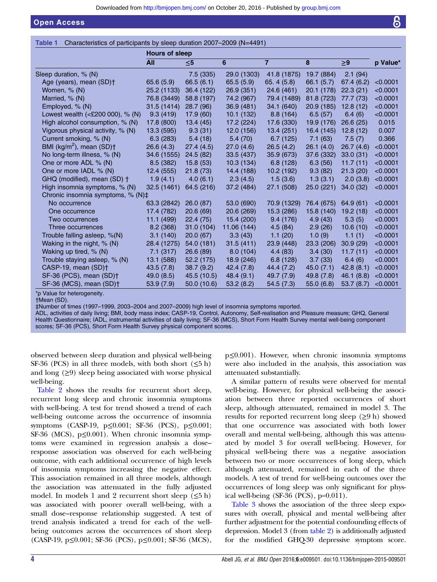# <span id="page-3-0"></span>Open Access

#### Table 1 Characteristics of participants by sleep duration 2007–2009 (N=4491)

|                                             | <b>Hours of sleep</b> |             |             |                |            |           |          |
|---------------------------------------------|-----------------------|-------------|-------------|----------------|------------|-----------|----------|
|                                             | <b>All</b>            | $\leq 5$    | 6           | $\overline{7}$ | 8          | $\geq 9$  | p Value* |
| Sleep duration, % (N)                       |                       | 7.5 (335)   | 29.0 (1303) | 41.8 (1875)    | 19.7 (884) | 2.1(94)   |          |
| Age (years), mean (SD) <sup>+</sup>         | 65.6(5.9)             | 66.5(6.1)   | 65.5(5.9)   | 65.4(5.8)      | 66.1 (5.7) | 67.4(6.2) | < 0.0001 |
| Women, % (N)                                | 25.2 (1133)           | 36.4 (122)  | 26.9 (351)  | 24.6 (461)     | 20.1 (178) | 22.3(21)  | < 0.0001 |
| Married, % (N)                              | 76.8 (3449)           | 58.8 (197)  | 74.2 (967)  | 79.4 (1489)    | 81.8 (723) | 77.7 (73) | < 0.0001 |
| Employed, % (N)                             | 31.5 (1414)           | 28.7 (96)   | 36.9(481)   | 34.1 (640)     | 20.9 (185) | 12.8(12)  | < 0.0001 |
| Lowest wealth ( $\leq$ £200 000), % (N)     | 9.3(419)              | 17.9(60)    | 10.1(132)   | 8.8(164)       | 6.5(57)    | 6.4(6)    | < 0.0001 |
| High alcohol consumption, $% (N)$           | 17.8 (800)            | 13.4(45)    | 17.2 (224)  | 17.6 (330)     | 19.9 (176) | 26.6(25)  | 0.015    |
| Vigorous physical activity, % (N)           | 13.3 (595)            | 9.3(31)     | 12.0(156)   | 13.4(251)      | 16.4 (145) | 12.8(12)  | 0.007    |
| Current smoking, % (N)                      | 6.3(283)              | 5.4(18)     | 5.4(70)     | 6.7(125)       | 7.1(63)    | 7.5(7)    | 0.366    |
| BMI ( $kg/m^2$ ), mean (SD) $\dagger$       | 26.6(4.3)             | 27.4(4.5)   | 27.0(4.6)   | 26.5(4.2)      | 26.1(4.0)  | 26.7(4.6) | < 0.0001 |
| No long-term illness, % (N)                 | 34.6 (1555)           | 24.5(82)    | 33.5 (437)  | 35.9(673)      | 37.6 (332) | 33.0(31)  | < 0.0001 |
| One or more ADL % (N)                       | 8.5(382)              | 15.8(53)    | 10.3(134)   | 6.8(128)       | 6.3(56)    | 11.7(11)  | < 0.0001 |
| One or more IADL % (N)                      | 12.4 (555)            | 21.8(73)    | 14.4 (188)  | 10.2(192)      | 9.3(82)    | 21.3(20)  | < 0.0001 |
| GHQ (modified), mean (SD) †                 | 1.9(4.1)              | 4.0(6.1)    | 2.3(4.5)    | 1.5(3.6)       | 1.3(3.1)   | 2.0(3.8)  | < 0.0001 |
| High insomnia symptoms, % (N)               | 32.5(1461)            | 64.5 (216)  | 37.2 (484)  | 27.1 (508)     | 25.0 (221) | 34.0(32)  | < 0.0001 |
| Chronic insomnia symptoms, % (N) $\ddagger$ |                       |             |             |                |            |           |          |
| No occurrence                               | 63.3 (2842)           | 26.0(87)    | 53.0 (690)  | 70.9 (1329)    | 76.4 (675) | 64.9(61)  | < 0.0001 |
| One occurrence                              | 17.4 (782)            | 20.6(69)    | 20.6 (269)  | 15.3 (286)     | 15.8 (140) | 19.2(18)  | < 0.0001 |
| Two occurrences                             | 11.1(499)             | 22.4(75)    | 15.4 (200)  | 9.4(176)       | 4.9(43)    | 5.3(5)    | < 0.0001 |
| Three occurrences                           | 8.2(368)              | 31.0(104)   | 11.06 (144) | 4.5(84)        | 2.9(26)    | 10.6(10)  | < 0.0001 |
| Trouble falling asleep, %(N)                | 3.1(140)              | 20.0(67)    | 3.3(43)     | 1.1(20)        | 1.0(9)     | 1.1(1)    | < 0.0001 |
| Waking in the night, $% (N)$                | 28.4 (1275)           | 54.0 (181)  | 31.5(411)   | 23.9 (448)     | 23.3 (206) | 30.9(29)  | < 0.0001 |
| Waking up tired, $% (N)$                    | 7.1(317)              | 26.6(89)    | 8.0(104)    | 4.4(83)        | 3.4(30)    | 11.7(11)  | < 0.0001 |
| Trouble staying asleep, % (N)               | 13.1 (588)            | 52.2 (175)  | 18.9 (246)  | 6.8(128)       | 3.7(33)    | 6.4(6)    | < 0.0001 |
| CASP-19, mean (SD) <sup>+</sup>             | 43.5(7.8)             | 38.7(9.2)   | 42.4 (7.8)  | 44.4 (7.2)     | 45.0(7.1)  | 42.8(8.1) | < 0.0001 |
| SF-36 (PCS), mean (SD) <sup>+</sup>         | 49.0 (8.5)            | 45.5 (10.5) | 48.4(9.1)   | 49.7 (7.9)     | 49.8 (7.8) | 46.1(8.8) | < 0.0001 |
| SF-36 (MCS), mean (SD)+                     | 53.9(7.9)             | 50.0 (10.6) | 53.2(8.2)   | 54.5(7.3)      | 55.0(6.8)  | 53.7(8.7) | < 0.0001 |

\*p Value for heterogeneity.

†Mean (SD).

‡Number of times (1997–1999, 2003–2004 and 2007–2009) high level of insomnia symptoms reported.

ADL, activities of daily living; BMI, body mass index; CASP-19, Control, Autonomy, Self-realisation and Pleasure measure; GHQ, General Health Questionnaire; IADL, instrumental activities of daily living; SF-36 (MCS), Short Form Health Survey mental well-being component scores; SF-36 (PCS), Short Form Health Survey physical component scores.

observed between sleep duration and physical well-being SF-36 (PCS) in all three models, with both short  $(\leq 5 h)$ and long  $(\geq 9)$  sleep being associated with worse physical well-being.

[Table 2](#page-4-0) shows the results for recurrent short sleep, recurrent long sleep and chronic insomnia symptoms with well-being. A test for trend showed a trend of each well-being outcome across the occurrence of insomnia symptoms (CASP-19, p≤0.001; SF-36 (PCS), p≤0.001; SF-36 (MCS),  $p \le 0.001$ ). When chronic insomnia symptoms were examined in regression analysis a dose– response association was observed for each well-being outcome, with each additional occurrence of high levels of insomnia symptoms increasing the negative effect. This association remained in all three models, although the association was attenuated in the fully adjusted model. In models 1 and 2 recurrent short sleep  $(\leq 5 h)$ was associated with poorer overall well-being, with a small dose–response relationship suggested. A test of trend analysis indicated a trend for each of the wellbeing outcomes across the occurrences of short sleep (CASP-19, p≤0.001; SF-36 (PCS), p≤0.001; SF-36 (MCS),

p≤0.001). However, when chronic insomnia symptoms were also included in the analysis, this association was attenuated substantially.

A similar pattern of results were observed for mental well-being. However, for physical well-being the association between three reported occurrences of short sleep, although attenuated, remained in model 3. The results for reported recurrent long sleep  $(≥9 h)$  showed that one occurrence was associated with both lower overall and mental well-being, although this was attenuated by model 3 for overall well-being. However, for physical well-being there was a negative association between two or more occurrences of long sleep, which although attenuated, remained in each of the three models. A test of trend for well-being outcomes over the occurrences of long sleep was only significant for physical well-being (SF-36 (PCS),  $p=0.011$ ).

[Table 3](#page-5-0) shows the association of the three sleep exposures with overall, physical and mental well-being after further adjustment for the potential confounding effects of depression. Model 3 (from [table 2](#page-4-0)) is additionally adjusted for the modified GHQ-30 depressive symptom score.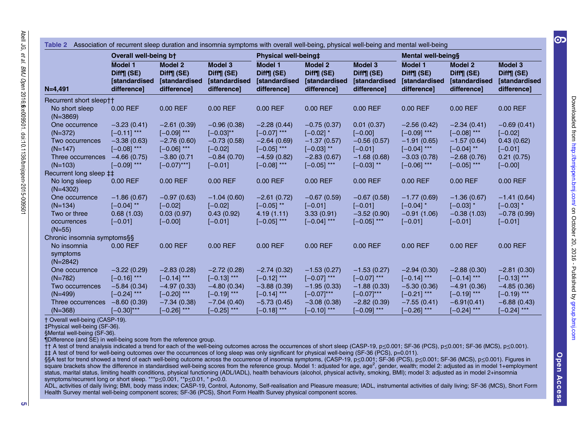<span id="page-4-0"></span>

| Table 2                                                | Association of recurrent sleep duration and insomnia symptoms with overall well-being, physical well-being and mental well-being |                                                       |                                                       |                                                              |                                                       |                                                              |                                                              |                                                       |                                                              |
|--------------------------------------------------------|----------------------------------------------------------------------------------------------------------------------------------|-------------------------------------------------------|-------------------------------------------------------|--------------------------------------------------------------|-------------------------------------------------------|--------------------------------------------------------------|--------------------------------------------------------------|-------------------------------------------------------|--------------------------------------------------------------|
|                                                        | Overall well-being bt                                                                                                            |                                                       |                                                       | Physical well-being‡                                         |                                                       |                                                              | Mental well-being§                                           |                                                       |                                                              |
| N=4,491                                                | Model 1<br>Diff¶ (SE)<br>[standardised<br>difference]                                                                            | Model 2<br>Diff¶ (SE)<br>[standardised<br>difference] | Model 3<br>Diff¶ (SE)<br>[standardised<br>difference] | <b>Model 1</b><br>Diff¶ (SE)<br>[standardised<br>difference] | Model 2<br>Diff¶ (SE)<br>[standardised<br>difference] | <b>Model 3</b><br>Diff¶ (SE)<br>[standardised<br>difference] | <b>Model 1</b><br>Diff¶ (SE)<br>[standardised<br>difference] | Model 2<br>Diff¶ (SE)<br>[standardised<br>difference] | <b>Model 3</b><br>Diff¶ (SE)<br>[standardised<br>difference] |
| Recurrent short sleep††                                |                                                                                                                                  |                                                       |                                                       |                                                              |                                                       |                                                              |                                                              |                                                       |                                                              |
| No short sleep<br>$(N=3869)$                           | 0.00 REF                                                                                                                         | 0.00 REF                                              | 0.00 REF                                              | 0.00 REF                                                     | 0.00 REF                                              | 0.00 REF                                                     | 0.00 REF                                                     | 0.00 REF                                              | 0.00 REF                                                     |
| One occurrence<br>$(N=372)$                            | $-3.23(0.41)$<br>$[-0.11]$ ***                                                                                                   | $-2.61(0.39)$<br>$[-0.09]$ ***                        | $-0.96(0.38)$<br>$[-0.03]^{**}$                       | $-2.28(0.44)$<br>$[-0.07]$ ***                               | $-0.75(0.37)$<br>$[-0.02]$ *                          | 0.01(0.37)<br>$[-0.00]$                                      | $-2.56(0.42)$<br>$[-0.09]$ ***                               | $-2.34(0.41)$<br>$[-0.08]$ ***                        | $-0.69(0.41)$<br>$[-0.02]$                                   |
| Two occurrences<br>$(N=147)$                           | $-3.38(0.63)$<br>$[-0.08]$ ***                                                                                                   | $-2.76(0.60)$<br>$[-0.06]$ ***                        | $-0.73(0.58)$<br>$[-0.02]$                            | $-2.64(0.69)$<br>$[-0.05]$ ***                               | $-1.37(0.57)$<br>$[-0.03]$ **                         | $-0.56(0.57)$<br>$[-0.01]$                                   | $-1.91(0.65)$<br>$[-0.04]$ ***                               | $-1.57(0.64)$<br>$[-0.04]$ **                         | 0.43(0.62)<br>$[-0.01]$                                      |
| Three occurrences<br>$(N=103)$                         | $-4.66(0.75)$<br>$[-0.09]$ ***                                                                                                   | $-3.80(0.71)$<br>$[-0.07$ <sup>***</sup> ]            | $-0.84(0.70)$<br>$[-0.01]$                            | $-4.59(0.82)$<br>$[-0.08]$ ***                               | $-2.83(0.67)$<br>$[-0.05]$ ***                        | $-1.68(0.68)$<br>$[-0.03]$ **                                | $-3.03(0.78)$<br>$[-0.06]$ ***                               | $-2.68(0.76)$<br>$[-0.05]$ ***                        | 0.21(0.75)<br>$[-0.00]$                                      |
| Recurrent long sleep ‡‡<br>No long sleep<br>$(N=4302)$ | 0.00 REF                                                                                                                         | 0.00 REF                                              | 0.00 REF                                              | 0.00 REF                                                     | 0.00 REF                                              | 0.00 REF                                                     | 0.00 REF                                                     | 0.00 REF                                              | 0.00 REF                                                     |
| One occurrence<br>$(N=134)$                            | $-1.86(0.67)$<br>$[-0.04]$ **                                                                                                    | $-0.97(0.63)$<br>$[-0.02]$                            | $-1.04(0.60)$<br>$[-0.02]$                            | $-2.61(0.72)$<br>$[-0.05]$ **                                | $-0.67(0.59)$<br>$[-0.01]$                            | $-0.67(0.58)$<br>$[-0.01]$                                   | $-1.77(0.69)$<br>$[-0.04]$ *                                 | $-1.36(0.67)$<br>$[-0.03]$ *                          | $-1.41(0.64)$<br>$[-0.03]$ *                                 |
| Two or three<br>occurrences<br>$(N=55)$                | 0.68(1.03)<br>$[-0.01]$                                                                                                          | 0.03(0.97)<br>$[-0.00]$                               | 0.43(0.92)<br>$[-0.01]$                               | 4.19(1.11)<br>$[-0.05]$ ***                                  | 3.33(0.91)<br>$[-0.04]$ ***                           | $-3.52(0.90)$<br>$[-0.05]$ ***                               | $-0.91(1.06)$<br>$[-0.01]$                                   | $-0.38(1.03)$<br>$[-0.01]$                            | $-0.78(0.99)$<br>$[-0.01]$                                   |
| Chronic insomnia symptoms§§                            |                                                                                                                                  |                                                       |                                                       |                                                              |                                                       |                                                              |                                                              |                                                       |                                                              |
| No insomnia<br>symptoms<br>$(N=2842)$                  | 0.00 REF                                                                                                                         | 0.00 REF                                              | 0.00 REF                                              | 0.00 REF                                                     | 0.00 REF                                              | 0.00 REF                                                     | 0.00 REF                                                     | 0.00 REF                                              | 0.00 REF                                                     |
| One occurrence                                         | $-3.22(0.29)$                                                                                                                    | $-2.83(0.28)$                                         | $-2.72(0.28)$                                         | $-2.74(0.32)$                                                | $-1.53(0.27)$                                         | $-1.53(0.27)$                                                | $-2.94(0.30)$                                                | $-2.88(0.30)$                                         | $-2.81(0.30)$                                                |
| $(N=782)$                                              | $[-0.16]$ ***                                                                                                                    | $[-0.14]$ ***                                         | $[-0.13]$ ***                                         | $[-0.12]$ ***                                                | $[-0.07]$ ***                                         | $[-0.07]$ ***                                                | $[-0.14]$ ***                                                | $[-0.14]$ ***                                         | $[-0.13]$ ***                                                |
| Two occurrences                                        | $-5.84(0.34)$                                                                                                                    | $-4.97(0.33)$                                         | $-4.80(0.34)$                                         | $-3.88(0.39)$                                                | $-1.95(0.33)$                                         | $-1.88(0.33)$                                                | $-5.30(0.36)$                                                | $-4.91(0.36)$                                         | $-4.85(0.36)$                                                |
| $(N=499)$                                              | $[-0.24]$ ***                                                                                                                    | $[-0.20]$ ***                                         | $[-0.19]$ ***                                         | $[-0.14]$ ***                                                | $[-0.07]$ ***                                         | $[-0.07]$ ***                                                | $[-0.21]$ ***                                                | $[-0.19]$ ***                                         | $[-0.19)$ ***                                                |
| Three occurrences<br>$(N=368)$                         | $-8.60(0.39)$<br>$[-0.30]$ ***                                                                                                   | $-7.34(0.38)$<br>$[-0.26]$ ***                        | $-7.04(0.40)$<br>$[-0.25]$ ***                        | $-5.73(0.45)$<br>$[-0.18]$ ***                               | $-3.08(0.38)$<br>$[-0.10]$ ***                        | $-2.82(0.39)$<br>$[-0.09]$ ***                               | $-7.55(0.41)$<br>$[-0.26]$ ***                               | $-6.91(0.41)$<br>$[-0.24]$ ***                        | $-6.88(0.43)$<br>$[-0.24]$ ***                               |

† Overall well-being (CASP-19).

‡Physical well-being (SF-36).

§Mental well-being (SF-36).

¶Difference (and SE) in well-being score from the reference group.

†† A test of trend analysis indicated a trend for each of the well-being outcomes across the occurrences of short sleep (CASP-19, p≤0.001; SF-36 (PCS), p≤0.001; SF-36 (MCS), p≤0.001). ‡‡ A test of trend for well-being outcomes over the occurrences of long sleep was only significant for physical well-being (SF-36 (PCS), p=0.011).

§§A test for trend showed a trend of each well-being outcome across the occurrence of insomnia symptoms, (CASP-19, p≤0.001; SF-36 (PCS), p≤0.001; SF-36 (MCS), p≤0.001). Figures in square brackets show the difference in standardised well-being scores from the reference group. Model 1: adjusted for age, age<sup>2</sup>, gender, wealth; model 2: adjusted as in model 1+employment status, marital status, limiting health conditions, physical functioning (ADL/IADL), health behaviours (alcohol, physical activity, smoking, BMI); model 3: adjusted as in model 2+insomnia symptoms/recurrent long or short sleep. \*\*\*p≤0.001, \*\*p≤0.01, \* p<0.0.

ADL, activities of daily living; BMI, body mass index; CASP-19, Control, Autonomy, Self-realisation and Pleasure measure; IADL, instrumental activities of daily living; SF-36 (MCS), Short Form Health Survey mental well-being component scores; SF-36 (PCS), Short Form Health Survey physical component scores.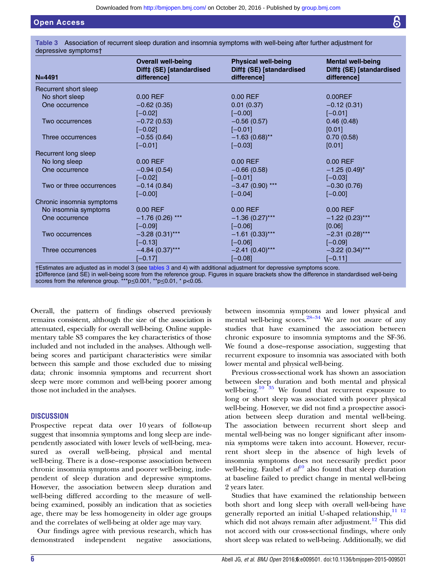# <span id="page-5-0"></span>Open Access

Table 3 Association of recurrent sleep duration and insomnia symptoms with well-being after further adjustment for depressive symptoms†

| <b>Physical well-being</b><br>Diff‡ (SE) [standardised<br>difference] | <b>Mental well-being</b><br>Diff‡ (SE) [standardised<br>difference]                                                                                                                                                                                                  |
|-----------------------------------------------------------------------|----------------------------------------------------------------------------------------------------------------------------------------------------------------------------------------------------------------------------------------------------------------------|
|                                                                       |                                                                                                                                                                                                                                                                      |
| 0.00 REF                                                              | $0.00$ REF                                                                                                                                                                                                                                                           |
| 0.01(0.37)                                                            | $-0.12(0.31)$                                                                                                                                                                                                                                                        |
| $[-0.00]$                                                             | $[-0.01]$                                                                                                                                                                                                                                                            |
| $-0.56(0.57)$                                                         | 0.46(0.48)                                                                                                                                                                                                                                                           |
| $[-0.01]$                                                             | [0.01]                                                                                                                                                                                                                                                               |
| $-1.63(0.68)$ **                                                      | 0.70(0.58)                                                                                                                                                                                                                                                           |
| $[-0.03]$                                                             | [0.01]                                                                                                                                                                                                                                                               |
|                                                                       |                                                                                                                                                                                                                                                                      |
| 0.00 REF                                                              | 0.00 REF                                                                                                                                                                                                                                                             |
| $-0.66(0.58)$                                                         | $-1.25(0.49)^{*}$                                                                                                                                                                                                                                                    |
| $[-0.01]$                                                             | $[-0.03]$                                                                                                                                                                                                                                                            |
| $-3.47(0.90)$ ***                                                     | $-0.30(0.76)$                                                                                                                                                                                                                                                        |
| $[-0.04]$                                                             | $[-0.00]$                                                                                                                                                                                                                                                            |
|                                                                       |                                                                                                                                                                                                                                                                      |
| 0.00 REF                                                              | 0.00 REF                                                                                                                                                                                                                                                             |
| $-1.36(0.27)$ ***                                                     | $-1.22(0.23)***$                                                                                                                                                                                                                                                     |
| $[-0.06]$                                                             | [0.06]                                                                                                                                                                                                                                                               |
| $-1.61$ (0.33)***                                                     | $-2.31(0.28)$ ***                                                                                                                                                                                                                                                    |
| $[-0.06]$                                                             | $[-0.09]$                                                                                                                                                                                                                                                            |
| $-2.41(0.40)$ ***                                                     | $-3.22(0.34)***$                                                                                                                                                                                                                                                     |
| $[-0.08]$                                                             | $[-0.11]$                                                                                                                                                                                                                                                            |
|                                                                       | †Estimates are adjusted as in model 3 (see tables 3 and 4) with additional adjustment for depressive symptoms score.<br>‡Difference (and SE) in well-being score from the reference group. Figures in square brackets show the difference in standardised well-being |

Overall, the pattern of findings observed previously remains consistent, although the size of the association is attenuated, especially for overall well-being. Online supplementary table S3 compares the key characteristics of those included and not included in the analyses. Although wellbeing scores and participant characteristics were similar between this sample and those excluded due to missing data; chronic insomnia symptoms and recurrent short sleep were more common and well-being poorer among those not included in the analyses.

#### **DISCUSSION**

Prospective repeat data over 10 years of follow-up suggest that insomnia symptoms and long sleep are independently associated with lower levels of well-being, measured as overall well-being, physical and mental well-being. There is a dose–response association between chronic insomnia symptoms and poorer well-being, independent of sleep duration and depressive symptoms. However, the association between sleep duration and well-being differed according to the measure of wellbeing examined, possibly an indication that as societies age, there may be less homogeneity in older age groups and the correlates of well-being at older age may vary.

Our findings agree with previous research, which has demonstrated independent negative associations,

between insomnia symptoms and lower physical and mental well-being scores.<sup>28–[34](#page-7-0)</sup> We are not aware of any studies that have examined the association between chronic exposure to insomnia symptoms and the SF-36. We found a dose–response association, suggesting that recurrent exposure to insomnia was associated with both lower mental and physical well-being.

Previous cross-sectional work has shown an association between sleep duration and both mental and physical well-being.<sup>10</sup><sup>35</sup> We found that recurrent exposure to long or short sleep was associated with poorer physical well-being. However, we did not find a prospective association between sleep duration and mental well-being. The association between recurrent short sleep and mental well-being was no longer significant after insomnia symptoms were taken into account. However, recurrent short sleep in the absence of high levels of insomnia symptoms does not necessarily predict poor well-being. Faubel *et al*<sup>[10](#page-7-0)</sup> also found that sleep duration at baseline failed to predict change in mental well-being 2 years later.

Studies that have examined the relationship between both short and long sleep with overall well-being have generally reported an initial U-shaped relationship,  $11^{12}$ which did not always remain after adjustment.<sup>[12](#page-7-0)</sup> This did not accord with our cross-sectional findings, where only short sleep was related to well-being. Additionally, we did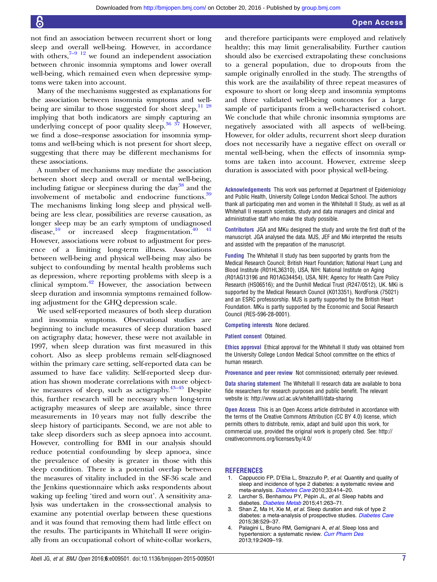<span id="page-6-0"></span>not find an association between recurrent short or long sleep and overall well-being. However, in accordance with others, $7-9$  $7-9$  <sup>12</sup> we found an independent association between chronic insomnia symptoms and lower overall well-being, which remained even when depressive symptoms were taken into account.

Many of the mechanisms suggested as explanations for the association between insomnia symptoms and wellbeing are similar to those suggested for short sleep, $^{11}$   $^{28}$ implying that both indicators are simply capturing an underlying concept of poor quality sleep.<sup>[36 37](#page-7-0)</sup> However, we find a dose–response association for insomnia symptoms and well-being which is not present for short sleep, suggesting that there may be different mechanisms for these associations.

A number of mechanisms may mediate the association between short sleep and overall or mental well-being, including fatigue or sleepiness during the day<sup>[38](#page-7-0)</sup> and the involvement of metabolic and endocrine functions.<sup>[39](#page-7-0)</sup> The mechanisms linking long sleep and physical wellbeing are less clear, possibilities are reverse causation, as longer sleep may be an early symptom of undiagnosed disease,  $\frac{10}{10}$  $\frac{10}{10}$  $\frac{10}{10}$  or increased sleep fragmentation.<sup>40</sup> <sup>41</sup> However, associations were robust to adjustment for presence of a limiting long-term illness. Associations between well-being and physical well-being may also be subject to confounding by mental health problems such as depression, where reporting problems with sleep is a clinical symptom[.42](#page-7-0) However, the association between sleep duration and insomnia symptoms remained following adjustment for the GHQ depression scale.

We used self-reported measures of both sleep duration and insomnia symptoms. Observational studies are beginning to include measures of sleep duration based on actigraphy data; however, these were not available in 1997, when sleep duration was first measured in this cohort. Also as sleep problems remain self-diagnosed within the primary care setting, self-reported data can be assumed to have face validity. Self-reported sleep duration has shown moderate correlations with more objective measures of sleep, such as actigraphy.[43](#page-7-0)–<sup>45</sup> Despite this, further research will be necessary when long-term actigraphy measures of sleep are available, since three measurements in 10 years may not fully describe the sleep history of participants. Second, we are not able to take sleep disorders such as sleep apnoea into account. However, controlling for BMI in our analysis should reduce potential confounding by sleep apnoea, since the prevalence of obesity is greater in those with this sleep condition. There is a potential overlap between the measures of vitality included in the SF-36 scale and the Jenkins questionnaire which asks respondents about waking up feeling 'tired and worn out'. A sensitivity analysis was undertaken in the cross-sectional analysis to examine any potential overlap between these questions and it was found that removing them had little effect on the results. The participants in Whitehall II were originally from an occupational cohort of white-collar workers,

and therefore participants were employed and relatively healthy; this may limit generalisability. Further caution should also be exercised extrapolating these conclusions to a general population, due to drop-outs from the sample originally enrolled in the study. The strengths of this work are the availability of three repeat measures of exposure to short or long sleep and insomnia symptoms and three validated well-being outcomes for a large sample of participants from a well-characterised cohort. We conclude that while chronic insomnia symptoms are negatively associated with all aspects of well-being. However, for older adults, recurrent short sleep duration does not necessarily have a negative effect on overall or mental well-being, when the effects of insomnia symptoms are taken into account. However, extreme sleep duration is associated with poor physical well-being.

Acknowledgements This work was performed at Department of Epidemiology and Public Health, University College London Medical School. The authors thank all participating men and women in the Whitehall II Study, as well as all Whitehall II research scientists, study and data managers and clinical and administrative staff who make the study possible.

Contributors JGA and MKu designed the study and wrote the first draft of the manuscript. JGA analysed the data. MJS, JEF and Mki interpreted the results and assisted with the preparation of the manuscript.

Funding The Whitehall II study has been supported by grants from the Medical Research Council; British Heart Foundation; National Heart Lung and Blood Institute (R01HL36310), USA, NIH: National Institute on Aging (R01AG13196 and R01AG34454), USA, NIH; Agency for Health Care Policy Research (HS06516); and the Dunhill Medical Trust (R247/0512), UK. MKi is supported by the Medical Research Council (K013351), NordForsk (75021) and an ESRC professorship. MJS is partly supported by the British Heart Foundation. MKu is partly supported by the Economic and Social Research Council (RES-596-28-0001).

Competing interests None declared.

Patient consent Obtained.

Ethics approval Ethical approval for the Whitehall II study was obtained from the University College London Medical School committee on the ethics of human research.

Provenance and peer review Not commissioned; externally peer reviewed.

Data sharing statement The Whitehall II research data are available to bona fide researchers for research purposes and public benefit. The relevant website is:<http://www.ucl.ac.uk/whitehallII/data-sharing>

**Open Access** This is an Open Access article distributed in accordance with the terms of the Creative Commons Attribution (CC BY 4.0) license, which permits others to distribute, remix, adapt and build upon this work, for commercial use, provided the original work is properly cited. See: [http://](http://creativecommons.org/licenses/by/4.0/) [creativecommons.org/licenses/by/4.0/](http://creativecommons.org/licenses/by/4.0/)

#### **REFERENCES**

- 1. Cappuccio FP, D'Elia L, Strazzullo P, et al. Quantity and quality of sleep and incidence of type 2 diabetes: a systematic review and meta-analysis. [Diabetes Care](http://dx.doi.org/10.2337/dc09-1124) 2010;33:414–20.
- 2. Larcher S, Benhamou PY, Pépin JL, et al. Sleep habits and diabetes. [Diabetes Metab](http://dx.doi.org/10.1016/j.diabet.2014.12.004) 2015;41:263-71.
- 3. Shan Z, Ma H, Xie M, et al. Sleep duration and risk of type 2 diabetes: a meta-analysis of prospective studies. [Diabetes Care](http://dx.doi.org/10.2337/dc14-2073) 2015;38:529–37.
- 4. Palagini L, Bruno RM, Gemignani A, et al. Sleep loss and hypertension: a systematic review. [Curr Pharm Des](http://dx.doi.org/10.2174/1381612811319130009) 2013;19:2409–19.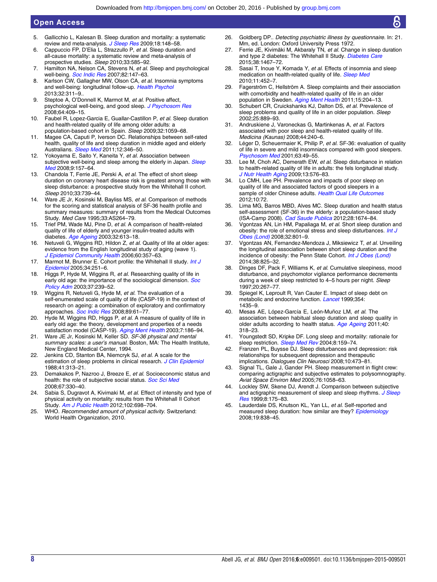# <span id="page-7-0"></span>Open Access

- 5. Gallicchio L, Kalesan B. Sleep duration and mortality: a systematic review and meta-analysis. [J Sleep Res](http://dx.doi.org/10.1111/j.1365-2869.2008.00732.x) 2009;18:148-58.
- 6. Cappuccio FP, D'Elia L, Strazzullo P, et al. Sleep duration and all-cause mortality: a systematic review and meta-analysis of prospective studies. Sleep 2010;33:585–92.
- 7. Hamilton NA, Nelson CA, Stevens N, et al. Sleep and psychological well-being. [Soc Indic Res](http://dx.doi.org/10.1007/s11205-006-9030-1) 2007;82:147-63.
- 8. Karlson CW, Gallagher MW, Olson CA, et al. Insomnia symptoms and well-being: longitudinal follow-up. [Health Psychol](http://dx.doi.org/10.1037/a0028186) 2013;32:311–9..
- 9. Steptoe A, O'Donnell K, Marmot M, et al. Positive affect, psychological well-being, and good sleep. [J Psychosom Res](http://dx.doi.org/10.1016/j.jpsychores.2007.11.008) 2008;64:409–15.
- 10. Faubel R, Lopez-Garcia E, Guallar-Castillon P, et al. Sleep duration and health-related quality of life among older adults: a population-based cohort in Spain. Sleep 2009;32:1059–68.
- 11. Magee CA, Caputi P, Iverson DC. Relationships between self-rated health, quality of life and sleep duration in middle aged and elderly Australians. [Sleep Med](http://dx.doi.org/10.1016/j.sleep.2010.09.013) 2011;12:346-50.
- 12. Yokoyama E, Saito Y, Kaneita Y, et al. Association between subjective well-being and sleep among the elderly in Japan. [Sleep](http://dx.doi.org/10.1016/j.sleep.2007.02.007) [Med](http://dx.doi.org/10.1016/j.sleep.2007.02.007) 2008;9:157-64.
- 13. Chandola T, Ferrie JE, Perski A, et al. The effect of short sleep duration on coronary heart disease risk is greatest among those with sleep disturbance: a prospective study from the Whitehall II cohort. Sleep 2010;33:739–44.
- 14. Ware JE Jr, Kosinski M, Bayliss MS, et al. Comparison of methods for the scoring and statistical analysis of SF-36 health profile and summary measures: summary of results from the Medical Outcomes Study. Med Care 1995;33:AS264–79.
- 15. Trief PM, Wade MJ, Pine D, et al. A comparison of health-related quality of life of elderly and younger insulin-treated adults with diabetes. [Age Ageing](http://dx.doi.org/10.1093/ageing/afg105) 2003:32:613-18.
- 16. Netuveli G, Wiggins RD, Hildon Z, et al. Quality of life at older ages: evidence from the English longitudinal study of aging (wave 1). [J Epidemiol Community Health](http://dx.doi.org/10.1136/jech.2005.040071) 2006;60:357-63.
- 17. Marmot M, Brunner E. Cohort profile: the Whitehall II study. [Int J](http://dx.doi.org/10.1093/ije/dyh372) [Epidemiol](http://dx.doi.org/10.1093/ije/dyh372) 2005;34:251–6.
- 18. Higgs P, Hyde M, Wiggins R, et al. Researching quality of life in early old age: the importance of the sociological dimension. [Soc](http://dx.doi.org/10.1111/1467-9515.00336) [Policy Adm](http://dx.doi.org/10.1111/1467-9515.00336) 2003;37:239–52.
- 19. Wiggins R, Netuveli G, Hyde M, et al. The evaluation of a self-enumerated scale of quality of life (CASP-19) in the context of research on ageing: a combination of exploratory and confirmatory approaches. [Soc Indic Res](http://dx.doi.org/10.1007/s11205-007-9220-5) 2008;89:61-77.
- 20. Hyde M, Wiggins RD, Higgs P, et al. A measure of quality of life in early old age: the theory, development and properties of a needs satisfaction model (CASP-19). [Aging Ment Health](http://dx.doi.org/10.1080/1360786031000101157) 2003;7:186-94.
- 21. Ware JE Jr, Kosinski M, Keller SD. *SF-36 physical and mental* summary scales: a user's manual. Boston, MA: The Health Institute, New England Medical Center, 1994.
- 22. Jenkins CD, Stanton BA, Niemcryk SJ, et al. A scale for the estimation of sleep problems in clinical research. [J Clin Epidemiol](http://dx.doi.org/10.1016/0895-4356(88)90138-2) 1988;41:313–21.
- 23. Demakakos P, Nazroo J, Breeze E, et al. Socioeconomic status and health: the role of subjective social status. [Soc Sci Med](http://dx.doi.org/10.1016/j.socscimed.2008.03.038) 2008;67:330–40.
- 24. Sabia S, Dugravot A, Kivimaki M, et al. Effect of intensity and type of physical activity on mortality: results from the Whitehall II Cohort Study. [Am J Public Health](http://dx.doi.org/10.2105/AJPH.2011.300257) 2012;102:698-704.
- 25. WHO. Recommended amount of physical activity. Switzerland: World Health Organization, 2010.
- 26. Goldberg DP.. Detecting psychiatric illness by questionnaire. In: 21. Mm, ed. London: Oxford University Press 1972.
- 27. Ferrie JE, Kivimäki M, Akbaraly TN, et al. Change in sleep duration and type 2 diabetes: The Whitehall II Study. [Diabetes Care](http://dx.doi.org/10.2337/dc15-0186) 2015;38:1467–72.
- 28. Sasai T, Inoue Y, Komada Y, et al. Effects of insomnia and sleep medication on health-related quality of life. [Sleep Med](http://dx.doi.org/10.1016/j.sleep.2009.09.011) 2010;11:452–7.
- 29. Fagerström C, Hellström A. Sleep complaints and their association with comorbidity and health-related quality of life in an older population in Sweden. [Aging Ment Health](http://dx.doi.org/10.1080/13607863.2010.513039) 2011;15:204-13.
- 30. Schubert CR, Cruickshanks KJ, Dalton DS, et al. Prevalence of sleep problems and quality of life in an older population. Sleep 2002;25:889–93.
- 31. Andruskiene J, Varoneckas G, Martinkenas A, et al. Factors associated with poor sleep and health-related quality of life. Medicina (Kaunas) 2008;44:240–6.
- 32. Léger D, Scheuermaier K, Philip P, et al. SF-36: evaluation of quality of life in severe and mild insomniacs compared with good sleepers. [Psychosom Med](http://dx.doi.org/10.1097/00006842-200101000-00006) 2001;63:49–55.
- 33. Lee M, Choh AC, Demerath EW, et al. Sleep disturbance in relation to health-related quality of life in adults: the fels longitudinal study. [J Nutr Health Aging](http://dx.doi.org/10.1007/s12603-009-0110-1) 2009;13:576–83.
- 34. Lo CMH, Lee PH. Prevalence and impacts of poor sleep on quality of life and associated factors of good sleepers in a sample of older Chinese adults. [Health Qual Life Outcomes](http://dx.doi.org/10.1186/1477-7525-10-72) 2012;10:72.
- 35. Lima MG, Barros MBD, Alves MC. Sleep duration and health status self-assessment (SF-36) in the elderly: a population-based study (ISA-Camp 2008). [Cad Saude Publica](http://dx.doi.org/10.1590/S0102-311X2012000900007) 2012;28:1674–84.
- 36. Vgontzas AN, Lin HM, Papaliaga M, et al. Short sleep duration and obesity: the role of emotional stress and sleep disturbances. [Int J](http://dx.doi.org/10.1038/ijo.2008.4) [Obes \(Lond\)](http://dx.doi.org/10.1038/ijo.2008.4) 2008;32:801–9.
- 37. Vgontzas AN, Fernandez-Mendoza J, Miksiewicz T, et al. Unveiling the longitudinal association between short sleep duration and the incidence of obesity: the Penn State Cohort. [Int J Obes \(Lond\)](http://dx.doi.org/10.1038/ijo.2013.172) 2014;38:825–32.
- 38. Dinges DF, Pack F, Williams K, et al. Cumulative sleepiness, mood disturbance, and psychomotor vigilance performance decrements during a week of sleep restricted to 4-5 hours per night. Sleep 1997;20:267–77.
- 39. Spiegel K, Leproult R, Van Cauter E. Impact of sleep debt on metabolic and endocrine function. *[Lancet](http://dx.doi.org/10.1016/S0140-6736(99)01376-8)* 1999;354: 1435–9.
- 40. Mesas AE, López-García E, León-Muñoz LM, et al. The association between habitual sleep duration and sleep quality in older adults according to health status. [Age Ageing](http://dx.doi.org/10.1093/ageing/afr004) 2011;40: 318–23.
- 41. Youngstedt SD, Kripke DF. Long sleep and mortality: rationale for sleep restriction. [Sleep Med Rev](http://dx.doi.org/10.1016/j.smrv.2003.10.002) 2004;8:159-74.
- 42. Franzen PL, Buysse DJ. Sleep disturbances and depression: risk relationships for subsequent depression and therapeutic implications. Dialogues Clin Neurosci 2008;10:473–81.
- 43. Signal TL, Gale J, Gander PH. Sleep measurement in flight crew: comparing actigraphic and subjective estimates to polysomnography. Aviat Space Environ Med 2005;76:1058–63.
- 44. Lockley SW, Skene DJ, Arendt J. Comparison between subjective and actigraphic measurement of sleep and sleep rhythms. [J Sleep](http://dx.doi.org/10.1046/j.1365-2869.1999.00155.x) [Res](http://dx.doi.org/10.1046/j.1365-2869.1999.00155.x) 1999;8:175–83.
- 45. Lauderdale DS, Knutson KL, Yan LL, et al. Self-reported and measured sleep duration: how similar are they? *[Epidemiology](http://dx.doi.org/10.1097/EDE.0b013e318187a7b0)* 2008;19:838–45.